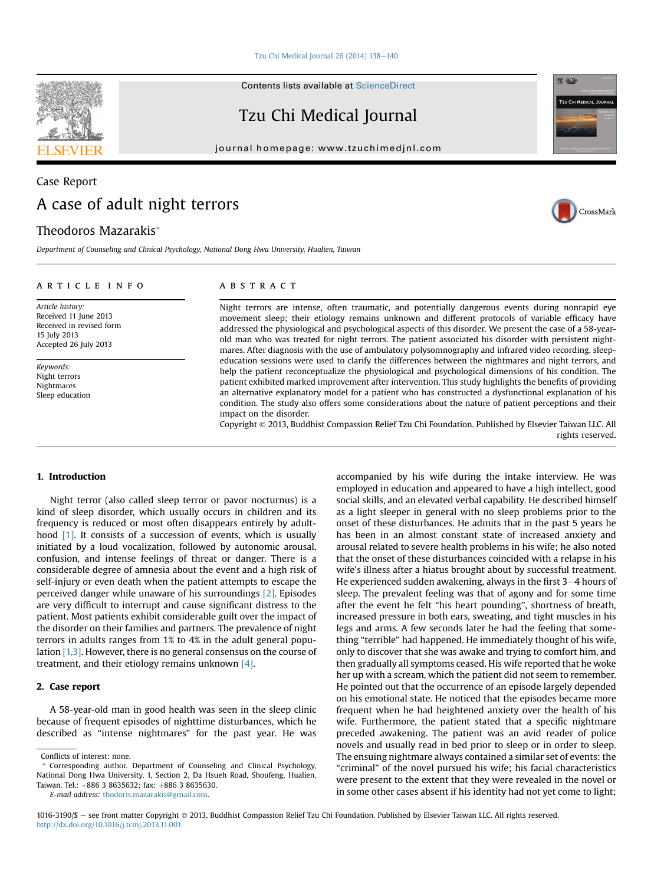Tzu Chi Medical Journal  $26$  ( $2014$ )  $138-140$  $138-140$ 

Contents lists available at [ScienceDirect](www.sciencedirect.com/science/journal/10163190)

Tzu Chi Medical Journal

journal homepage: [www.tzuchimedjnl.com](http://www.tzuchimedjnl.com)

# Case Report A case of adult night terrors

## Theodoros Mazarakis\*

Department of Counseling and Clinical Psychology, National Dong Hwa University, Hualien, Taiwan

#### article info

Article history: Received 11 June 2013 Received in revised form 15 July 2013 Accepted 26 July 2013

Keywords: Night terrors Nightmares Sleep education

#### **ABSTRACT**

Night terrors are intense, often traumatic, and potentially dangerous events during nonrapid eye movement sleep; their etiology remains unknown and different protocols of variable efficacy have addressed the physiological and psychological aspects of this disorder. We present the case of a 58-yearold man who was treated for night terrors. The patient associated his disorder with persistent nightmares. After diagnosis with the use of ambulatory polysomnography and infrared video recording, sleepeducation sessions were used to clarify the differences between the nightmares and night terrors, and help the patient reconceptualize the physiological and psychological dimensions of his condition. The patient exhibited marked improvement after intervention. This study highlights the benefits of providing an alternative explanatory model for a patient who has constructed a dysfunctional explanation of his condition. The study also offers some considerations about the nature of patient perceptions and their impact on the disorder.

Copyright 2013, Buddhist Compassion Relief Tzu Chi Foundation. Published by Elsevier Taiwan LLC. All rights reserved.

#### 1. Introduction

Night terror (also called sleep terror or pavor nocturnus) is a kind of sleep disorder, which usually occurs in children and its frequency is reduced or most often disappears entirely by adult-hood [\[1\].](#page-2-0) It consists of a succession of events, which is usually initiated by a loud vocalization, followed by autonomic arousal, confusion, and intense feelings of threat or danger. There is a considerable degree of amnesia about the event and a high risk of self-injury or even death when the patient attempts to escape the perceived danger while unaware of his surroundings [\[2\]](#page-2-0). Episodes are very difficult to interrupt and cause significant distress to the patient. Most patients exhibit considerable guilt over the impact of the disorder on their families and partners. The prevalence of night terrors in adults ranges from 1% to 4% in the adult general population [\[1,3\].](#page-2-0) However, there is no general consensus on the course of treatment, and their etiology remains unknown [\[4\]](#page-2-0).

#### 2. Case report

A 58-year-old man in good health was seen in the sleep clinic because of frequent episodes of nighttime disturbances, which he described as "intense nightmares" for the past year. He was

E-mail address: [thodoris.mazarakis@gmail.com](mailto:thodoris.mazarakis@gmail.com).

accompanied by his wife during the intake interview. He was employed in education and appeared to have a high intellect, good social skills, and an elevated verbal capability. He described himself as a light sleeper in general with no sleep problems prior to the onset of these disturbances. He admits that in the past 5 years he has been in an almost constant state of increased anxiety and arousal related to severe health problems in his wife; he also noted that the onset of these disturbances coincided with a relapse in his wife's illness after a hiatus brought about by successful treatment. He experienced sudden awakening, always in the first  $3-4$  hours of sleep. The prevalent feeling was that of agony and for some time after the event he felt "his heart pounding", shortness of breath, increased pressure in both ears, sweating, and tight muscles in his legs and arms. A few seconds later he had the feeling that something "terrible" had happened. He immediately thought of his wife, only to discover that she was awake and trying to comfort him, and then gradually all symptoms ceased. His wife reported that he woke her up with a scream, which the patient did not seem to remember. He pointed out that the occurrence of an episode largely depended on his emotional state. He noticed that the episodes became more frequent when he had heightened anxiety over the health of his wife. Furthermore, the patient stated that a specific nightmare preceded awakening. The patient was an avid reader of police novels and usually read in bed prior to sleep or in order to sleep. The ensuing nightmare always contained a similar set of events: the "criminal" of the novel pursued his wife; his facial characteristics were present to the extent that they were revealed in the novel or in some other cases absent if his identity had not yet come to light;







Conflicts of interest: none.

<sup>\*</sup> Corresponding author. Department of Counseling and Clinical Psychology, National Dong Hwa University, 1, Section 2, Da Hsueh Road, Shoufeng, Hualien, Taiwan. Tel.:  $+886$  3 8635632; fax:  $+886$  3 8635630.

<sup>1016-3190/\$ -</sup> see front matter Copyright © 2013, Buddhist Compassion Relief Tzu Chi Foundation. Published by Elsevier Taiwan LLC. All rights reserved. <http://dx.doi.org/10.1016/j.tcmj.2013.11.001>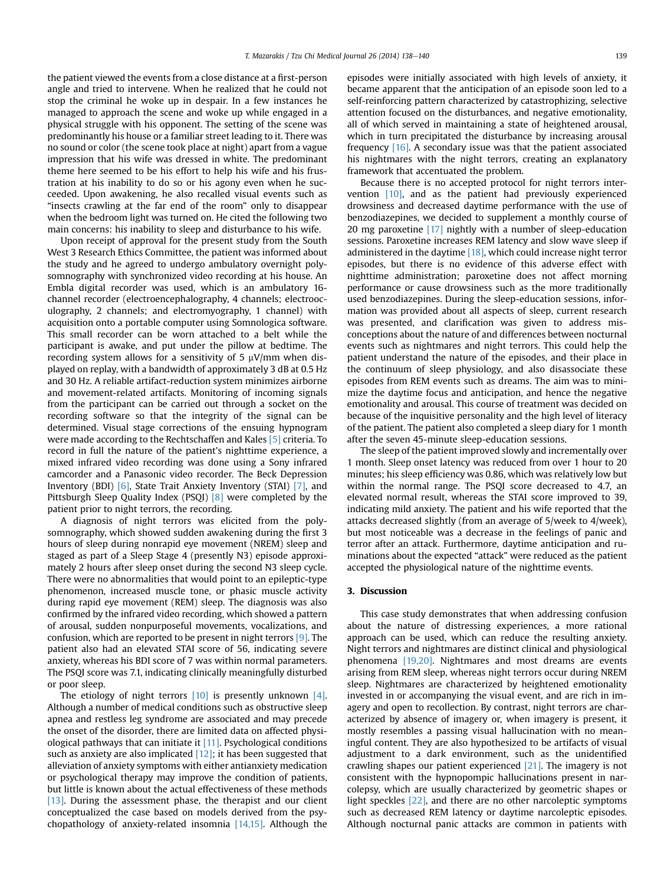the patient viewed the events from a close distance at a first-person angle and tried to intervene. When he realized that he could not stop the criminal he woke up in despair. In a few instances he managed to approach the scene and woke up while engaged in a physical struggle with his opponent. The setting of the scene was predominantly his house or a familiar street leading to it. There was no sound or color (the scene took place at night) apart from a vague impression that his wife was dressed in white. The predominant theme here seemed to be his effort to help his wife and his frustration at his inability to do so or his agony even when he succeeded. Upon awakening, he also recalled visual events such as "insects crawling at the far end of the room" only to disappear when the bedroom light was turned on. He cited the following two main concerns: his inability to sleep and disturbance to his wife.

Upon receipt of approval for the present study from the South West 3 Research Ethics Committee, the patient was informed about the study and he agreed to undergo ambulatory overnight polysomnography with synchronized video recording at his house. An Embla digital recorder was used, which is an ambulatory 16 channel recorder (electroencephalography, 4 channels; electrooculography, 2 channels; and electromyography, 1 channel) with acquisition onto a portable computer using Somnologica software. This small recorder can be worn attached to a belt while the participant is awake, and put under the pillow at bedtime. The recording system allows for a sensitivity of 5  $\mu$ V/mm when displayed on replay, with a bandwidth of approximately 3 dB at 0.5 Hz and 30 Hz. A reliable artifact-reduction system minimizes airborne and movement-related artifacts. Monitoring of incoming signals from the participant can be carried out through a socket on the recording software so that the integrity of the signal can be determined. Visual stage corrections of the ensuing hypnogram were made according to the Rechtschaffen and Kales [\[5\]](#page-2-0) criteria. To record in full the nature of the patient's nighttime experience, a mixed infrared video recording was done using a Sony infrared camcorder and a Panasonic video recorder. The Beck Depression Inventory (BDI) [\[6\]](#page-2-0), State Trait Anxiety Inventory (STAI) [\[7\],](#page-2-0) and Pittsburgh Sleep Quality Index (PSQI) [\[8\]](#page-2-0) were completed by the patient prior to night terrors, the recording.

A diagnosis of night terrors was elicited from the polysomnography, which showed sudden awakening during the first 3 hours of sleep during nonrapid eye movement (NREM) sleep and staged as part of a Sleep Stage 4 (presently N3) episode approximately 2 hours after sleep onset during the second N3 sleep cycle. There were no abnormalities that would point to an epileptic-type phenomenon, increased muscle tone, or phasic muscle activity during rapid eye movement (REM) sleep. The diagnosis was also confirmed by the infrared video recording, which showed a pattern of arousal, sudden nonpurposeful movements, vocalizations, and confusion, which are reported to be present in night terrors [\[9\].](#page-2-0) The patient also had an elevated STAI score of 56, indicating severe anxiety, whereas his BDI score of 7 was within normal parameters. The PSQI score was 7.1, indicating clinically meaningfully disturbed or poor sleep.

The etiology of night terrors  $[10]$  is presently unknown  $[4]$ . Although a number of medical conditions such as obstructive sleep apnea and restless leg syndrome are associated and may precede the onset of the disorder, there are limited data on affected physiological pathways that can initiate it  $[11]$ . Psychological conditions such as anxiety are also implicated  $[12]$ ; it has been suggested that alleviation of anxiety symptoms with either antianxiety medication or psychological therapy may improve the condition of patients, but little is known about the actual effectiveness of these methods [\[13\]](#page-2-0). During the assessment phase, the therapist and our client conceptualized the case based on models derived from the psychopathology of anxiety-related insomnia [\[14,15\].](#page-2-0) Although the episodes were initially associated with high levels of anxiety, it became apparent that the anticipation of an episode soon led to a self-reinforcing pattern characterized by catastrophizing, selective attention focused on the disturbances, and negative emotionality, all of which served in maintaining a state of heightened arousal, which in turn precipitated the disturbance by increasing arousal frequency [\[16\].](#page-2-0) A secondary issue was that the patient associated his nightmares with the night terrors, creating an explanatory framework that accentuated the problem.

Because there is no accepted protocol for night terrors intervention [\[10\],](#page-2-0) and as the patient had previously experienced drowsiness and decreased daytime performance with the use of benzodiazepines, we decided to supplement a monthly course of 20 mg paroxetine [\[17\]](#page-2-0) nightly with a number of sleep-education sessions. Paroxetine increases REM latency and slow wave sleep if administered in the daytime  $[18]$ , which could increase night terror episodes, but there is no evidence of this adverse effect with nighttime administration; paroxetine does not affect morning performance or cause drowsiness such as the more traditionally used benzodiazepines. During the sleep-education sessions, information was provided about all aspects of sleep, current research was presented, and clarification was given to address misconceptions about the nature of and differences between nocturnal events such as nightmares and night terrors. This could help the patient understand the nature of the episodes, and their place in the continuum of sleep physiology, and also disassociate these episodes from REM events such as dreams. The aim was to minimize the daytime focus and anticipation, and hence the negative emotionality and arousal. This course of treatment was decided on because of the inquisitive personality and the high level of literacy of the patient. The patient also completed a sleep diary for 1 month after the seven 45-minute sleep-education sessions.

The sleep of the patient improved slowly and incrementally over 1 month. Sleep onset latency was reduced from over 1 hour to 20 minutes; his sleep efficiency was 0.86, which was relatively low but within the normal range. The PSQI score decreased to 4.7, an elevated normal result, whereas the STAI score improved to 39, indicating mild anxiety. The patient and his wife reported that the attacks decreased slightly (from an average of 5/week to 4/week), but most noticeable was a decrease in the feelings of panic and terror after an attack. Furthermore, daytime anticipation and ruminations about the expected "attack" were reduced as the patient accepted the physiological nature of the nighttime events.

### 3. Discussion

This case study demonstrates that when addressing confusion about the nature of distressing experiences, a more rational approach can be used, which can reduce the resulting anxiety. Night terrors and nightmares are distinct clinical and physiological phenomena [\[19,20\].](#page-2-0) Nightmares and most dreams are events arising from REM sleep, whereas night terrors occur during NREM sleep. Nightmares are characterized by heightened emotionality invested in or accompanying the visual event, and are rich in imagery and open to recollection. By contrast, night terrors are characterized by absence of imagery or, when imagery is present, it mostly resembles a passing visual hallucination with no meaningful content. They are also hypothesized to be artifacts of visual adjustment to a dark environment, such as the unidentified crawling shapes our patient experienced [\[21\]](#page-2-0). The imagery is not consistent with the hypnopompic hallucinations present in narcolepsy, which are usually characterized by geometric shapes or light speckles [\[22\],](#page-2-0) and there are no other narcoleptic symptoms such as decreased REM latency or daytime narcoleptic episodes. Although nocturnal panic attacks are common in patients with